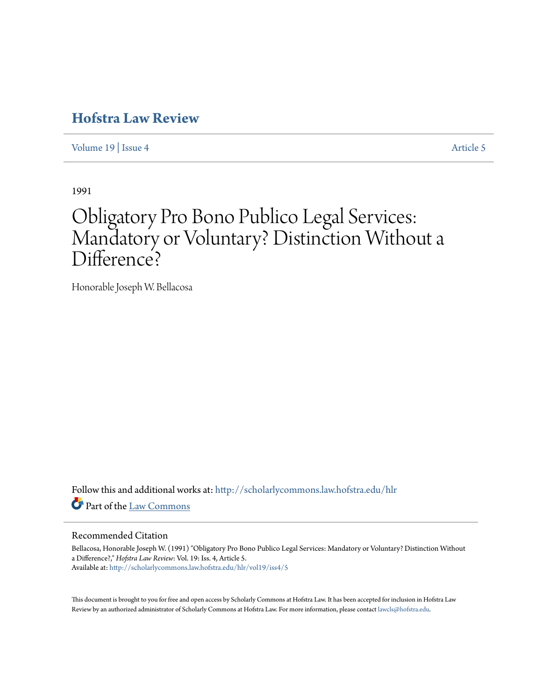# **[Hofstra Law Review](http://scholarlycommons.law.hofstra.edu/hlr?utm_source=scholarlycommons.law.hofstra.edu%2Fhlr%2Fvol19%2Fiss4%2F5&utm_medium=PDF&utm_campaign=PDFCoverPages)**

[Volume 19](http://scholarlycommons.law.hofstra.edu/hlr/vol19?utm_source=scholarlycommons.law.hofstra.edu%2Fhlr%2Fvol19%2Fiss4%2F5&utm_medium=PDF&utm_campaign=PDFCoverPages) | [Issue 4](http://scholarlycommons.law.hofstra.edu/hlr/vol19/iss4?utm_source=scholarlycommons.law.hofstra.edu%2Fhlr%2Fvol19%2Fiss4%2F5&utm_medium=PDF&utm_campaign=PDFCoverPages) [Article 5](http://scholarlycommons.law.hofstra.edu/hlr/vol19/iss4/5?utm_source=scholarlycommons.law.hofstra.edu%2Fhlr%2Fvol19%2Fiss4%2F5&utm_medium=PDF&utm_campaign=PDFCoverPages)

1991

# Obligatory Pro Bono Publico Legal Services: Mandatory or Voluntary? Distinction Without a Difference?

Honorable Joseph W. Bellacosa

Follow this and additional works at: [http://scholarlycommons.law.hofstra.edu/hlr](http://scholarlycommons.law.hofstra.edu/hlr?utm_source=scholarlycommons.law.hofstra.edu%2Fhlr%2Fvol19%2Fiss4%2F5&utm_medium=PDF&utm_campaign=PDFCoverPages) Part of the [Law Commons](http://network.bepress.com/hgg/discipline/578?utm_source=scholarlycommons.law.hofstra.edu%2Fhlr%2Fvol19%2Fiss4%2F5&utm_medium=PDF&utm_campaign=PDFCoverPages)

# Recommended Citation

Bellacosa, Honorable Joseph W. (1991) "Obligatory Pro Bono Publico Legal Services: Mandatory or Voluntary? Distinction Without a Difference?," *Hofstra Law Review*: Vol. 19: Iss. 4, Article 5. Available at: [http://scholarlycommons.law.hofstra.edu/hlr/vol19/iss4/5](http://scholarlycommons.law.hofstra.edu/hlr/vol19/iss4/5?utm_source=scholarlycommons.law.hofstra.edu%2Fhlr%2Fvol19%2Fiss4%2F5&utm_medium=PDF&utm_campaign=PDFCoverPages)

This document is brought to you for free and open access by Scholarly Commons at Hofstra Law. It has been accepted for inclusion in Hofstra Law Review by an authorized administrator of Scholarly Commons at Hofstra Law. For more information, please contact [lawcls@hofstra.edu](mailto:lawcls@hofstra.edu).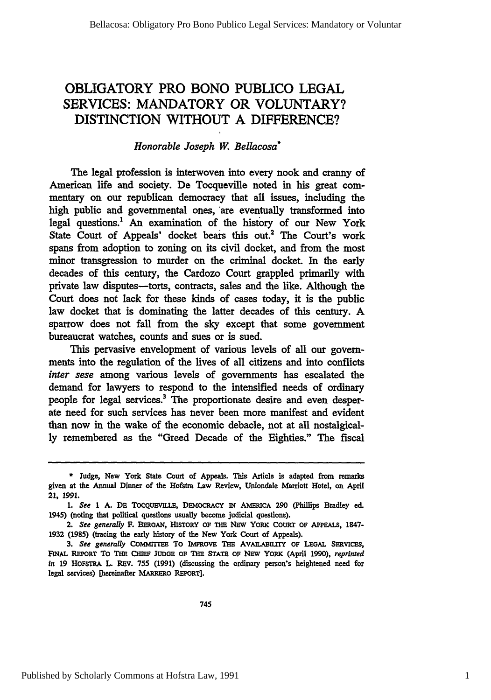# OBLIGATORY PRO **BONO PUBLICO LEGAL** SERVICES: MANDATORY OR VOLUNTARY? DISTINCTION WITHOUT **A DIFFERENCE?**

# *Honorable Joseph W. Bellacosa\**

The legal profession is interwoven into every nook and cranny of American life and society. De Tocqueville noted in his great commentary on our republican democracy that all issues, including the high public and governmental ones, 'are eventually transformed into legal questions.' An examination of the history of our New York State Court of Appeals' docket bears this out.<sup>2</sup> The Court's work spans from adoption to zoning on its civil docket, and from the most minor transgression to murder on the criminal docket. In the early decades of this century, the Cardozo Court grappled primarily with private law disputes-torts, contracts, sales and the like. Although the Court does not lack for these kinds of cases today, it is the public law docket that is dominating the latter decades of this century. A sparrow does not fall from the sky except that some government bureaucrat watches, counts and sues or is sued.

This pervasive envelopment of various levels of all our governments into the regulation of the lives of all citizens and into conflicts *inter sese* among various levels of governments has escalated the demand for lawyers to respond to the intensified needs of ordinary people for legal services.3 The proportionate desire and even desperate need for such services has never been more manifest and evident than now in the wake of the economic debacle, not at all nostalgically remembered as the "Greed Decade of the Eighties." The fiscal

**<sup>\*</sup>** Judge, New York State Court of Appeals. This Article is adapted from remarks given at the Annual Dinner of the Hofstra Law Review, Uniondale Marriott Hotel, on April 21, **1991.**

<sup>1.</sup> See 1 A. DE TOCQUEVILLE, DEMOCRACY IN AMERICA 290 (Phillips Bradley ed. 1945) (noting that political questions usually become judicial questions).

<sup>2.</sup> *See generally* F. BERoAN, HIsToRY **OF THE** Nsw YORK COURT **OF** APPEALS, **1847- 1932 (1985)** (tracing the early history of the New York Court of Appeals).

<sup>3.</sup> See generally COMMITTEE TO IMPROVE THE AVAILABILITY OF LEGAL SERVICES, FINAL REPORT TO THE CHIEF JUDGE OF THE STATE OF NEW YORK (April 1990), *reprinted In* **19 HOFSTRA** L. REV. **755 (1991)** (discussing the ordinary person's heightened need for legal services) [hereinafter MARRERO REPORT].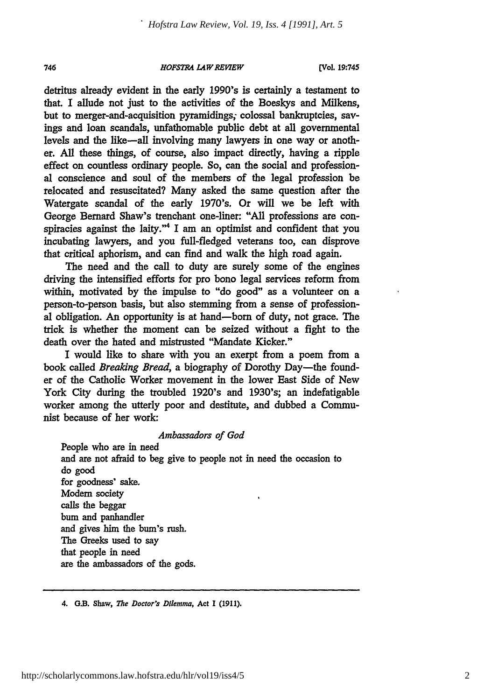#### *HOFSTRA L4WREVEW*

(VCol. **19:745**

detritus already evident in the early 1990's is certainly a testament to that. I allude not just to the activities of the Boeskys and Milkens, but to merger-and-acquisition pyramidings; colossal bankruptcies, savings and loan scandals, unfathomable public debt at all governmental levels and the like-all involving many lawyers in one way or another. **All** these things, of course, also impact directly, having a ripple effect on countless ordinary people. So, can the social and professional conscience and soul of the members of the legal profession be relocated and resuscitated? Many asked the same question after the Watergate scandal of the early 1970's. Or will we be left with George Bernard Shaw's trenchant one-liner: "All professions are conspiracies against the laity."4 I am an optimist and confident that you incubating lawyers, and you full-fledged veterans too, can disprove that critical aphorism, and can find and walk the high road again.

The need and the call to duty are surely some of the engines driving the intensified efforts for pro bono legal services reform from within, motivated **by** the impulse to "do **good"** as a volunteer on a person-to-person basis, but also stemming from a sense of professional obligation. An opportunity is at hand-born of duty, not grace. The trick is whether the moment can be seized without a fight to the death over the hated and mistrusted "Mandate Kicker."

I would like to share with you an exerpt from a poem from a book called *Breaking Bread,* a biography of Dorothy Day-the founder of the Catholic Worker movement in the lower East Side of New York City during the troubled 1920's and 1930's; an indefatigable worker among the utterly poor and destitute, and dubbed a Communist because of her work:

### *Ambassadors of God*

People who are in need and are not afraid to beg give to people not in need the occasion to do good for goodness' sake. Modem society calls the beggar bum and panhandler and gives him the bum's rush. The Greeks used to say that people in need are the ambassadors of the gods.

4. G.B. Shaw, *The Doctor's Dilemma,* Act **I (1911).**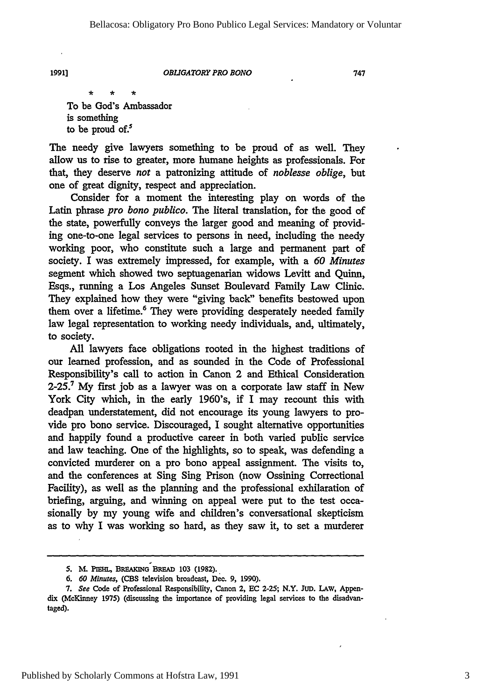#### *OBLIGATORY PRO BONO*

747

To be God's Ambassador is something to be proud of. $5$ 

The needy give lawyers something to be proud of as well. They allow us to rise to greater, more humane heights as professionals. For that, they deserve *not* a patronizing attitude of *noblesse oblige,* but one of great dignity, respect and appreciation.

Consider for a moment the interesting play on words of the Latin phrase *pro bono publico.* The literal translation, for the good of the state, powerfully conveys the larger good and meaning of providing one-to-one legal services to persons in need, including the needy working poor, who constitute such a large and permanent part of society. I was extremely impressed, for example, with a *60 Minutes* segment which showed two septuagenarian widows Levitt and Quinn, Esqs., running a Los Angeles Sunset Boulevard Family Law Clinic. They explained how they were "giving back" benefits bestowed upon them over a lifetime.<sup>6</sup> They were providing desperately needed family law legal representation to working needy individuals, and, ultimately, to society.

All lawyers face obligations rooted in the highest traditions of our learned profession, and as sounded in the Code of Professional Responsibility's call to action in Canon 2 and Ethical Consideration  $2-25$ .<sup>7</sup> My first job as a lawyer was on a corporate law staff in New York City which, in the early 1960's, if I may recount this with deadpan understatement, did not encourage its young lawyers to provide pro bono service. Discouraged, I sought alternative opportunities and happily found a productive career in both varied public service and law teaching. One of the highlights, so to speak, was defending a convicted murderer on a pro bono appeal assignment. The visits to, and the conferences at Sing Sing Prison (now Ossining Correctional Facility), as well as the planning and the professional exhilaration of briefing, arguing, and winning on appeal were put to the test occasionally by my young wife and children's conversational skepticism as to why I was working so hard, as they saw it, to set a murderer

<sup>5.</sup> M. PIEHL, BREAKING BREAD 103 (1982).

*<sup>6. 60</sup> Minutes,* **(CBS** television broadcast, Dec. 9, 1990).

*<sup>7.</sup> See* Code of Professional Responsibility, Canon 2, EC 2-25; N.Y. **JUD.** LAW, Appendix (McKinney **1975)** (discussing the importance of providing legal services to the disadvantaged).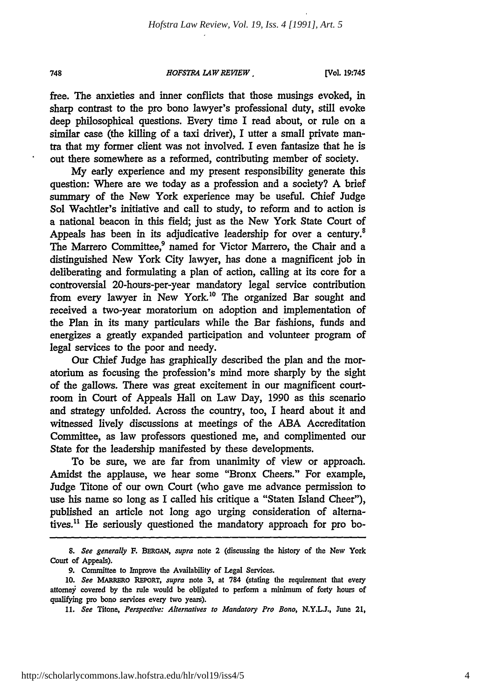*HOFSTRA LAW REVIEW* [

**[V/ol. 19:745**

free. The anxieties and inner conflicts that those musings evoked, in sharp contrast to the pro bono lawyer's professional duty, still evoke deep philosophical questions. Every time I read about, or rule on a similar case (the killing of a taxi driver), I utter a small private mantra that my former client was not involved. I even fantasize that he is out there somewhere as a reformed, contributing member of society.

**My** early experience and my present responsibility generate this question: Where are we today as a profession and a society? A brief summary of the New York experience may be useful. Chief Judge Sol Wachtler's initiative and call to study, to reform and to action is a national beacon in this field; just as the New York State Court of Appeals has been in its adjudicative leadership for over a century.<sup>8</sup> The Marrero Committee,<sup>9</sup> named for Victor Marrero, the Chair and a distinguished New York City lawyer, has done a magnificent **job** in deliberating and formulating a plan of action, calling at its core for a controversial 20-hours-per-year mandatory legal service contribution from every lawyer in New York.<sup>10</sup> The organized Bar sought and received a two-year moratorium on adoption and implementation of the Plan in its many particulars while the Bar fashions, funds and energizes a greatly expanded participation and volunteer program of legal services to the poor and needy.

Our Chief Judge has graphically described the plan and the moratorium as focusing the profession's mind more sharply by the sight of the gallows. There was great excitement in our magnificent courtroom in Court of Appeals Hall on Law Day, 1990 as this scenario and strategy unfolded. Across the country, too, I heard about it and witnessed lively discussions at meetings of the ABA Accreditation Committee, as law professors questioned me, and complimented our State for the leadership manifested by these developments.

To be sure, we are far from unanimity of view or approach. Amidst the applause, we hear some "Bronx Cheers." For example, Judge Titone of our own Court (who gave me advance permission to use his name so long as I called his critique a "Staten Island Cheer"), published an article not long ago urging consideration of alternatives.<sup>11</sup> He seriously questioned the mandatory approach for pro bo-

748

*<sup>8.</sup> See generally* **F. BERGAN,** *supra* note 2 (discussing the history of the New York Court of Appeals).

**<sup>9.</sup>** Committee to Improve the Availability of Legal Services.

**<sup>10.</sup>** *See* MARRERo REPoRT, *supra* note **3,** at **784** (stating the requirement that every attomey covered **by** the rule would be obligated to perform a minimum of forty hours of qualifying pro bono services every two years).

**<sup>11.</sup>** *See* Titone, *Perspective: Alternatives to Mandatory Pro Bono,* **N.Y.LJ.,** June 21,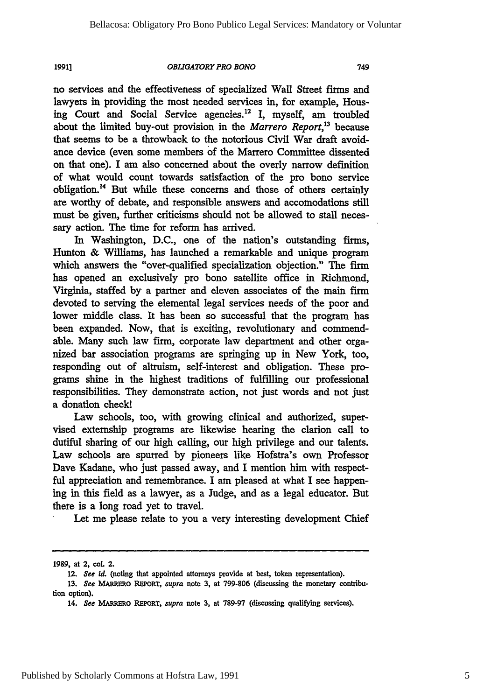#### *OBLIGATORY PRO BONO*

no services and the effectiveness of specialized Wall Street firms and lawyers in providing the most needed services in, for example, Housing Court and Social Service agencies.<sup>12</sup> I, myself, am troubled about the limited buy-out provision in the *Marrero Report*,<sup>13</sup> because that seems to be a throwback to the notorious Civil War draft avoidance device (even some members of the Marrero Committee dissented on that one). I am also concerned about the overly narrow definition of what would count towards satisfaction of the pro bono service obligation. 4 But while these concerns and those of others certainly are worthy of debate, and responsible answers and accomodations still must be given, further criticisms should not be allowed to stall necessary action. The time for reform has arrived.

In Washington, D.C., one of the nation's outstanding firms, Hunton **&** Williams, has launched a remarkable and unique program which answers the "over-qualified specialization objection." The firm has opened an exclusively pro bono satellite office in Richmond, Virginia, staffed by a partner and eleven associates of the main firm devoted to serving the elemental legal services needs of the poor and lower middle class. It has been so successful that the program has been expanded. Now, that is exciting, revolutionary and commendable. Many such law firm, corporate law department and other organized bar association programs are springing up in New York, too, responding out of altruism, self-interest and obligation. These programs shine in the highest traditions of fulfilling our professional responsibilities. They demonstrate action, not just words and not just a donation check!

Law schools, too, with growing clinical and authorized, supervised externship programs are likewise hearing the clarion call to dutiful sharing of our high calling, our high privilege and our talents. Law schools are spurred by pioneers like Hofstra's own Professor Dave Kadane, who just passed away, and I mention him with respectful appreciation and remembrance. I am pleased at what I see happening in this field as a lawyer, as a Judge, and as a legal educator. But there is a long road yet to travel.

Let me please relate to you a very interesting development Chief

749

**<sup>1989,</sup>** at 2, col. 2.

<sup>12.</sup> *See id.* (noting that appointed attorneys provide at best, token representation).

**<sup>13.</sup>** *See MARERMO* REPORT, *supra* note **3,** at 799-806 (discussing the monetary contribution option).

<sup>14.</sup> *See* **MARRERO** REPORT, *supra* note 3, at **789-97** (discussing qualifying services).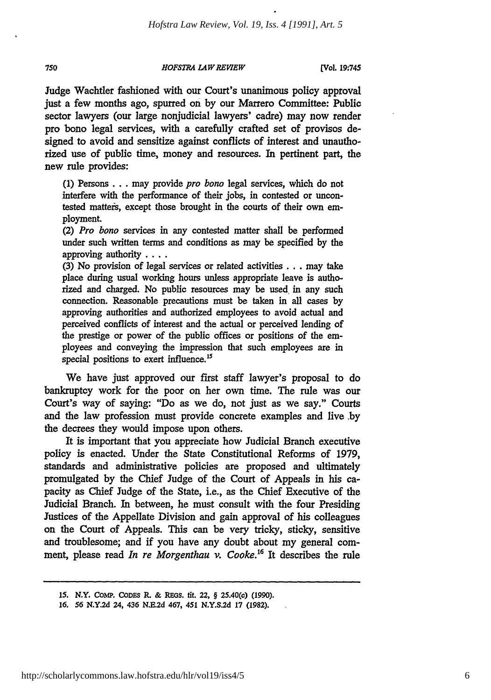750 *HOFSTRA LAWREVIEW* **(Vol. 19:745**

Judge Wachtler fashioned with our Court's unanimous policy approval just a few months ago, spurred on **by** our Marrero Committee: Public sector lawyers (our large nonjudicial lawyers' cadre) may now render pro bono legal services, with a carefully crafted set of provisos designed to avoid and sensitize against conflicts of interest and unauthorized use of public time, money and resources. In pertinent part, the new rule provides:

(1) Persons **...** may provide *pro bono* legal services, which do not interfere with the performance of their jobs, in contested or uncontested matters, except those brought in the courts of their own employment.

(2) *Pro bono* services in any contested matter shall be performed under such written terms and conditions as may be specified **by** the approving authority ....

**(3)** No provision of legal services or related activities... may take place during usual working hours unless appropriate leave is authorized and charged. No public resources may be used in any such connection. Reasonable precautions must be taken in all cases **by** approving authorities and authorized employees to avoid actual and perceived conflicts of interest and the actual or perceived lending of the prestige or power of the public offices or positions of the employees and conveying the impression that such employees are in special positions to exert influence.<sup>15</sup>

We have just approved our first staff lawyer's proposal to do bankruptcy work for the poor on her own time. The rule was our Court's way of saying: "Do as we do, not just as we say." Courts and the law profession must provide concrete examples and live .by the decrees they would impose upon others.

It is important that you appreciate how Judicial Branch executive policy is enacted. Under the State Constitutional Reforms of 1979, standards and administrative policies are proposed and ultimately promulgated by the Chief Judge of the Court of Appeals in his capacity as Chief Judge of the State, i.e., as the Chief Executive of the Judicial Branch. In between, he must consult with the four Presiding Justices of the Appellate Division and gain approval of his colleagues on the Court of Appeals. This can be very tricky, sticky, sensitive and troublesome; and if you have any doubt about my general comment, please read *In re Morgenthau v. Cooke.16* It describes the rule

**<sup>15.</sup> N.Y. CoMP. CODES R. & REGS. tit. 22,** § **25.40(c) (1990).**

**<sup>16.</sup>** *56* **N.Y.2d 24, 436 N.E.2d 467, 451 N.Y.S.2d 17 (1982).**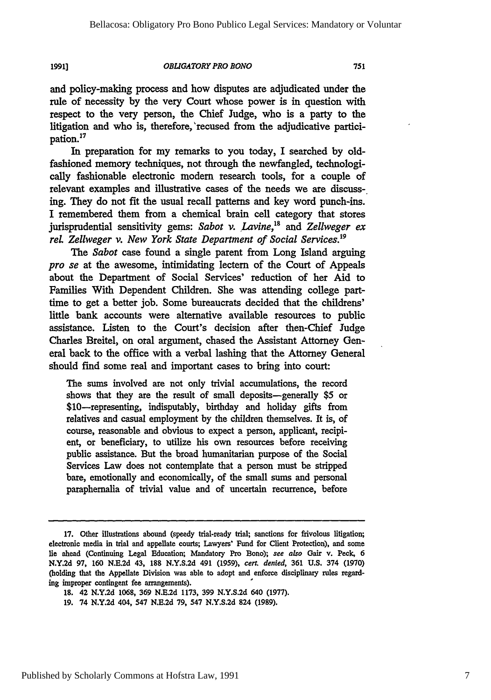#### *OBLIGATORY PRO BONO*

and policy-making process and how disputes are adjudicated under the rule of necessity **by** the very Court whose power is in question with respect to the very person, the Chief Judge, who is a party to the litigation and who is, therefore,'recused from the adjudicative participation.<sup>17</sup>

In preparation for my remarks to you today, I searched by oldfashioned memory techniques, not through the newfangled, technologically fashionable electronic modem research tools, for a couple of relevant examples and illustrative cases of the needs we are discussing. They do not fit the usual recall patterns and key word punch-ins. I remembered them from a chemical brain cell category that stores jurisprudential sensitivity gems: *Sabot v. Lavine,"8 and Zeliweger ex rel. Zellweger v. New York State Department of Social Services.19*

The *Sabot* case found a single parent from Long Island arguing *pro se* at the awesome, intimidating lectern of the Court of Appeals about the Department of Social Services' reduction of her Aid to Families With Dependent Children. She was attending college parttime to get a better job. Some bureaucrats decided that the childrens' little bank accounts were alternative available resources to public assistance. Listen to the Court's decision after then-Chief Judge Charles Breitel, on oral argument, chased the Assistant Attorney General back to the office with a verbal lashing that the Attorney General should find some real and important cases to bring into court:

The sums involved are not only trivial accumulations, the record shows that they are the result of small deposits-generally \$5 or \$10-representing, indisputably, birthday and holiday gifts from relatives and casual employment by the children themselves. It is, of course, reasonable and obvious to expect a person, applicant, recipient, or beneficiary, to utilize his own resources before receiving public assistance. But the broad humanitarian purpose of the Social Services Law does not contemplate that a person must be stripped bare, emotionally and economically, of the small sums and personal paraphernalia of trivial value and of uncertain recurrence, before

**<sup>17.</sup>** Other illustrations abound (speedy trial-ready trial; sanctions for frivolous litigation; electronic media in trial and appellate courts; Lawyers' Fund for Client Protection), and some lie ahead (Continuing Legal Education; Mandatory Pro Bono); see *also* Gair v. Peck, **6 N.Y.2d 97, 160 N.E.2d** 43, **188 N.Y.S.2d** 491 **(1959),** cert. *denied,* **361 U.S.** 374 **(1970)** (holding that the Appellate Division was able to adopt and enforce disciplinary rules regarding improper contingent fee arrangements).

**<sup>18.</sup>** 42 **N.Y.2d 1068, 369 N.E.2d 1173, 399 N.Y.S.2d** 640 **(1977).**

**<sup>19.</sup>** 74 **N.Y.2d** 404, 547 **N.E.2d 79,** 547 **N.Y.S.2d** 824 **(1989).**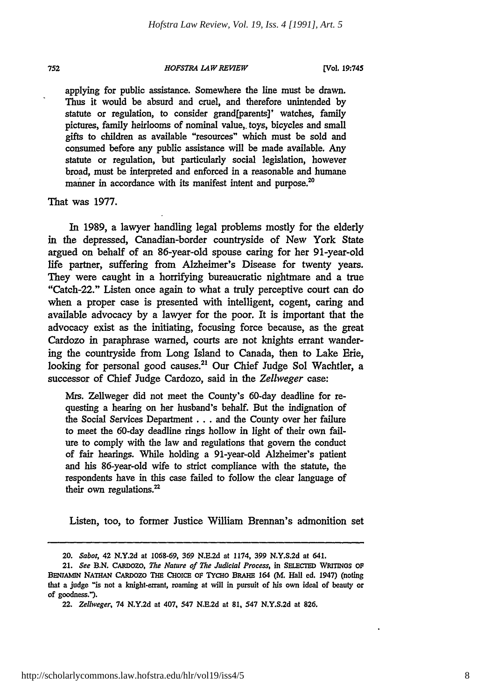752

#### *HOFSTRA LAW REVIEW*

**[Vol, 19:745**

applying for public assistance. Somewhere the line must be drawn. Thus it would be absurd and cruel, and therefore unintended **by** statute or regulation, to consider grand[parents]' watches, family pictures, family heirlooms of nominal value,, toys, bicycles and small gifts to children as available "resources" which must be sold and consumed before any public assistance will be made available. Any statute or regulation, but particularly social legislation, however broad, must be interpreted and enforced in a reasonable and humane manner in accordance with its manifest intent and purpose.<sup>20</sup>

That was **1977.**

In **1989,** a lawyer handling legal problems mostly for the elderly in the depressed, Canadian-border countryside of New York State argued on behalf of an 86-year-old spouse caring for her 91-year-old life partner, suffering from Alzheimer's Disease for twenty years. They were caught in a horrifying bureaucratic nightmare and a true "Catch-22." Listen once again to what a truly perceptive court can do when a proper case is presented with intelligent, cogent, caring and available advocacy by a lawyer for the poor. It is important that the advocacy exist as the initiating, focusing force because, as the great Cardozo in paraphrase warned, courts are not knights errant wandering the countryside from Long Island to Canada, then to Lake Erie, looking for personal good causes.<sup>21</sup> Our Chief Judge Sol Wachtler, a successor of Chief Judge Cardozo, said in the *Zellweger* case:

Mrs. Zellweger did not meet the County's 60-day deadline for requesting a hearing on her husband's behalf. But the indignation of the Social Services Department **...** and the County over her failure to meet the 60-day deadline rings hollow in light of their own failure to comply with the law and regulations that govem the conduct of fair hearings. While holding a 91-year-old Alzheimer's patient and his 86-year-old wife to strict compliance with the statute, the respondents have in this case failed to follow the clear language of their own regulations. $22$ 

Listen, too, to former Justice William Brennan's admonition set

<sup>20.</sup> *Sabot,* 42 N.Y.2d at 1068-69, *369* N.E.2d at 1174, 399 N.Y.S.2d at 641.

<sup>21.</sup> *See* **B.N.** CARDOZO, *The Nature of The Judicial Process,* in **SELECTED** WRITINOs Op BENJAMIN NATHAN CARDOZO THE CHOICE OF TYCHO BRAHE 164 (M. Hall ed. 1947) (noting that a judge "is not a knight-errant, roaming at will in pursuit of his own ideal of beauty or of goodness.").

*<sup>22.</sup> Zellweger,* 74 **N.Y.2d** at 407, 547 **N.E,2d** at **81,** 547 N.Y.S.2d at **826.**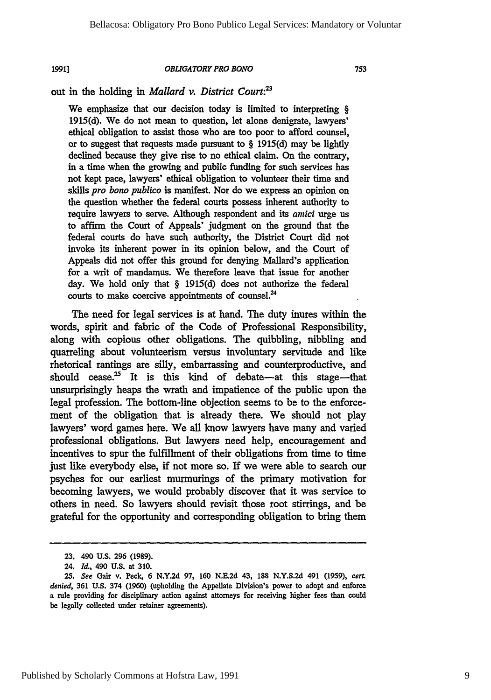#### *OBL[GATORY PRO BONO*

753

## out in the holding in *Mallard v. District Court:'*

We emphasize that our decision today is limited to interpreting § 1915(d). We do not mean to question, let alone denigrate, lawyers' ethical obligation to assist those who are too poor to afford counsel, or to suggest that requests made pursuant to § 1915(d) may be lightly declined because they give rise to no ethical claim. On the contrary, in a time when the growing and public funding for such services has not kept pace, lawyers' ethical obligation to volunteer their time and skills *pro bono publico* is manifest. Nor do we express an opinion on the question whether the federal courts possess inherent authority to require lawyers to serve. Although respondent and its *amici* urge **us** to affirm the Court of Appeals' judgment on the ground that the federal courts do have such authority, the District Court did not invoke its inherent power in its opinion below, and the Court of Appeals did not offer this ground for denying Mallard's application for a writ of mandamus. We therefore leave that issue for another day. We hold only that § **1915(d)** does not authorize the federal courts to make coercive appointments of counsel.<sup>24</sup>

The need for legal services is at hand. The duty inures within the words, spirit and fabric of the Code of Professional Responsibility, along with copious other obligations. The quibbling, nibbling and quarreling about volunteerism versus involuntary servitude and like rhetorical rantings are silly, embarrassing and counterproductive, and should cease.<sup>25</sup> It is this kind of debate-at this stage-that unsurprisingly heaps the wrath and impatience of the public upon the legal profession. The bottom-line objection seems to be to the enforcement of the obligation that is already there. We should not play lawyers' word games here. We all know lawyers have many and varied professional obligations. But lawyers need help, encouragement and incentives to spur the fulfillment of their obligations from time to time just like everybody else, if not more so. If we were able to search our psyches for our earliest murmurings of the primary motivation for becoming lawyers, we would probably discover that it was service to others in need. So lawyers should revisit those root stirrings, and be grateful for the opportunity and corresponding obligation to bring them

**<sup>23.</sup>** 490 **U.S. 296 (1989).**

<sup>24.</sup> *Id.,* 490 **U.S.** at 310.

*<sup>25.</sup> See* **Gair** v. Peck, **6 N.Y.2d 97, 160 N.E.2d** 43, **188 N.Y.S.2d** 491 **(1959),** *cert. denied,* **361 U.S.** 374 **(1960)** (upholding the Appellate Division's power to adopt and enforce a rule providing for disciplinary action against attorneys for receiving higher fees than could be legally collected under retainer agreements).